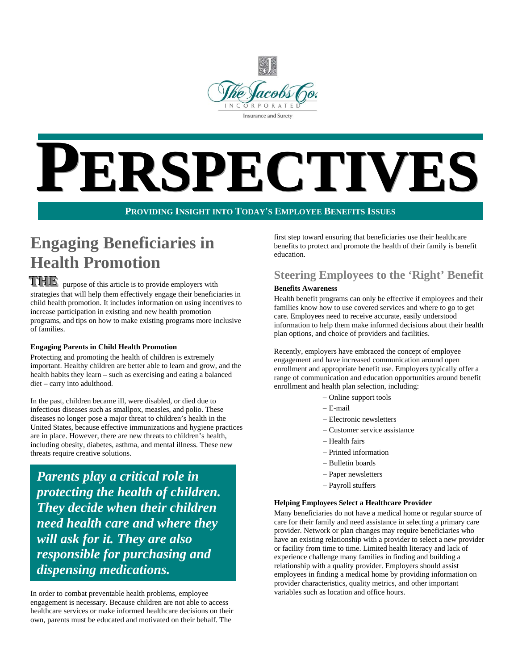

# PECTIVES

**PROVIDING INSIGHT INTO TODAY'S EMPLOYEE BENEFITS ISSUES**

# **Engaging Beneficiaries in Health Promotion**

**TTHE** purpose of this article is to provide employers with strategies that will help them effectively engage their beneficiaries in child health promotion. It includes information on using incentives to increase participation in existing and new health promotion programs, and tips on how to make existing programs more inclusive of families.

#### **Engaging Parents in Child Health Promotion**

Protecting and promoting the health of children is extremely important. Healthy children are better able to learn and grow, and the health habits they learn – such as exercising and eating a balanced diet – carry into adulthood.

In the past, children became ill, were disabled, or died due to infectious diseases such as smallpox, measles, and polio. These diseases no longer pose a major threat to children's health in the United States, because effective immunizations and hygiene practices are in place. However, there are new threats to children's health, including obesity, diabetes, asthma, and mental illness. These new threats require creative solutions.

*Parents play a critical role in protecting the health of children. They decide when their children need health care and where they will ask for it. They are also responsible for purchasing and dispensing medications.*

In order to combat preventable health problems, employee engagement is necessary. Because children are not able to access healthcare services or make informed healthcare decisions on their own, parents must be educated and motivated on their behalf. The

first step toward ensuring that beneficiaries use their healthcare benefits to protect and promote the health of their family is benefit education.

# **Steering Employees to the 'Right' Benefit**

#### **Benefits Awareness**

Health benefit programs can only be effective if employees and their families know how to use covered services and where to go to get care. Employees need to receive accurate, easily understood information to help them make informed decisions about their health plan options, and choice of providers and facilities.

Recently, employers have embraced the concept of employee engagement and have increased communication around open enrollment and appropriate benefit use. Employers typically offer a range of communication and education opportunities around benefit enrollment and health plan selection, including:

- − Online support tools
- − E-mail
- − Electronic newsletters
- − Customer service assistance
- − Health fairs
- − Printed information
- − Bulletin boards
- − Paper newsletters
- − Payroll stuffers

#### **Helping Employees Select a Healthcare Provider**

Many beneficiaries do not have a medical home or regular source of care for their family and need assistance in selecting a primary care provider. Network or plan changes may require beneficiaries who have an existing relationship with a provider to select a new provider or facility from time to time. Limited health literacy and lack of experience challenge many families in finding and building a relationship with a quality provider. Employers should assist employees in finding a medical home by providing information on provider characteristics, quality metrics, and other important variables such as location and office hours.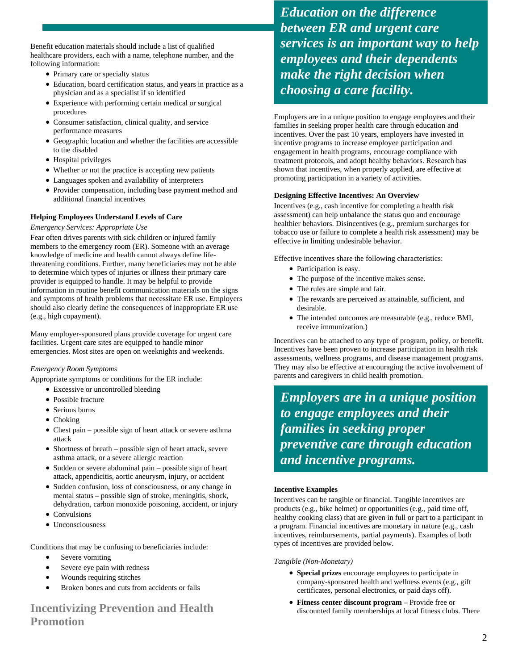Benefit education materials should include a list of qualified healthcare providers, each with a name, telephone number, and the following information:

- Primary care or specialty status
- Education, board certification status, and years in practice as a physician and as a specialist if so identified
- Experience with performing certain medical or surgical procedures
- Consumer satisfaction, clinical quality, and service performance measures
- Geographic location and whether the facilities are accessible to the disabled
- Hospital privileges
- Whether or not the practice is accepting new patients
- Languages spoken and availability of interpreters
- Provider compensation, including base payment method and additional financial incentives

#### **Helping Employees Understand Levels of Care**

#### *Emergency Services: Appropriate Use*

Fear often drives parents with sick children or injured family members to the emergency room (ER). Someone with an average knowledge of medicine and health cannot always define lifethreatening conditions. Further, many beneficiaries may not be able to determine which types of injuries or illness their primary care provider is equipped to handle. It may be helpful to provide information in routine benefit communication materials on the signs and symptoms of health problems that necessitate ER use. Employers should also clearly define the consequences of inappropriate ER use (e.g., high copayment).

Many employer-sponsored plans provide coverage for urgent care facilities. Urgent care sites are equipped to handle minor emergencies. Most sites are open on weeknights and weekends.

#### *Emergency Room Symptoms*

Appropriate symptoms or conditions for the ER include:

- Excessive or uncontrolled bleeding
- Possible fracture
- Serious burns
- Choking
- Chest pain possible sign of heart attack or severe asthma attack
- Shortness of breath possible sign of heart attack, severe asthma attack, or a severe allergic reaction
- Sudden or severe abdominal pain possible sign of heart attack, appendicitis, aortic aneurysm, injury, or accident
- Sudden confusion, loss of consciousness, or any change in mental status – possible sign of stroke, meningitis, shock, dehydration, carbon monoxide poisoning, accident, or injury
- Convulsions
- Unconsciousness

Conditions that may be confusing to beneficiaries include:

- Severe vomiting
- Severe eye pain with redness
- Wounds requiring stitches
- Broken bones and cuts from accidents or falls

### **Incentivizing Prevention and Health Promotion**

*Education on the difference between ER and urgent care services is an important way to help employees and their dependents make the right decision when choosing a care facility.*

Employers are in a unique position to engage employees and their families in seeking proper health care through education and incentives. Over the past 10 years, employers have invested in incentive programs to increase employee participation and engagement in health programs, encourage compliance with treatment protocols, and adopt healthy behaviors. Research has shown that incentives, when properly applied, are effective at promoting participation in a variety of activities.

#### **Designing Effective Incentives: An Overview**

Incentives (e.g., cash incentive for completing a health risk assessment) can help unbalance the status quo and encourage healthier behaviors. Disincentives (e.g., premium surcharges for tobacco use or failure to complete a health risk assessment) may be effective in limiting undesirable behavior.

Effective incentives share the following characteristics:

- Participation is easy.
- The purpose of the incentive makes sense.
- The rules are simple and fair.
- The rewards are perceived as attainable, sufficient, and desirable.
- The intended outcomes are measurable (e.g., reduce BMI, receive immunization.)

Incentives can be attached to any type of program, policy, or benefit. Incentives have been proven to increase participation in health risk assessments, wellness programs, and disease management programs. They may also be effective at encouraging the active involvement of parents and caregivers in child health promotion.

*Employers are in a unique position to engage employees and their families in seeking proper preventive care through education and incentive programs.*

#### **Incentive Examples**

Incentives can be tangible or financial. Tangible incentives are products (e.g., bike helmet) or opportunities (e.g., paid time off, healthy cooking class) that are given in full or part to a participant in a program. Financial incentives are monetary in nature (e.g., cash incentives, reimbursements, partial payments). Examples of both types of incentives are provided below.

#### *Tangible (Non-Monetary)*

- **Special prizes** encourage employees to participate in company-sponsored health and wellness events (e.g., gift certificates, personal electronics, or paid days off).
- **Fitness center discount program** Provide free or discounted family memberships at local fitness clubs. There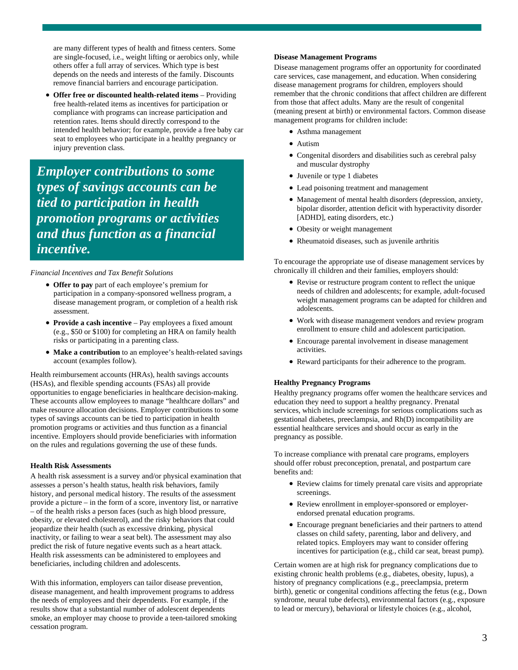are many different types of health and fitness centers. Some are single-focused, i.e., weight lifting or aerobics only, while others offer a full array of services. Which type is best depends on the needs and interests of the family. Discounts remove financial barriers and encourage participation.

• **Offer free or discounted health-related items** – Providing free health-related items as incentives for participation or compliance with programs can increase participation and retention rates. Items should directly correspond to the intended health behavior; for example, provide a free baby car seat to employees who participate in a healthy pregnancy or injury prevention class.

*Employer contributions to some types of savings accounts can be tied to participation in health promotion programs or activities and thus function as a financial incentive.*

#### *Financial Incentives and Tax Benefit Solutions*

- **Offer to pay** part of each employee's premium for participation in a company-sponsored wellness program, a disease management program, or completion of a health risk assessment.
- **Provide a cash incentive** Pay employees a fixed amount (e.g., \$50 or \$100) for completing an HRA on family health risks or participating in a parenting class.
- **Make a contribution** to an employee's health-related savings account (examples follow).

Health reimbursement accounts (HRAs), health savings accounts (HSAs), and flexible spending accounts (FSAs) all provide opportunities to engage beneficiaries in healthcare decision-making. These accounts allow employees to manage "healthcare dollars" and make resource allocation decisions. Employer contributions to some types of savings accounts can be tied to participation in health promotion programs or activities and thus function as a financial incentive. Employers should provide beneficiaries with information on the rules and regulations governing the use of these funds.

#### **Health Risk Assessments**

A health risk assessment is a survey and/or physical examination that assesses a person's health status, health risk behaviors, family history, and personal medical history. The results of the assessment provide a picture – in the form of a score, inventory list, or narrative – of the health risks a person faces (such as high blood pressure, obesity, or elevated cholesterol), and the risky behaviors that could jeopardize their health (such as excessive drinking, physical inactivity, or failing to wear a seat belt). The assessment may also predict the risk of future negative events such as a heart attack. Health risk assessments can be administered to employees and beneficiaries, including children and adolescents.

With this information, employers can tailor disease prevention, disease management, and health improvement programs to address the needs of employees and their dependents. For example, if the results show that a substantial number of adolescent dependents smoke, an employer may choose to provide a teen-tailored smoking cessation program.

#### **Disease Management Programs**

Disease management programs offer an opportunity for coordinated care services, case management, and education. When considering disease management programs for children, employers should remember that the chronic conditions that affect children are different from those that affect adults. Many are the result of congenital (meaning present at birth) or environmental factors. Common disease management programs for children include:

- Asthma management
- Autism
- Congenital disorders and disabilities such as cerebral palsy and muscular dystrophy
- Juvenile or type 1 diabetes
- Lead poisoning treatment and management
- Management of mental health disorders (depression, anxiety, bipolar disorder, attention deficit with hyperactivity disorder [ADHD], eating disorders, etc.)
- Obesity or weight management
- Rheumatoid diseases, such as juvenile arthritis

To encourage the appropriate use of disease management services by chronically ill children and their families, employers should:

- Revise or restructure program content to reflect the unique needs of children and adolescents; for example, adult-focused weight management programs can be adapted for children and adolescents.
- Work with disease management vendors and review program enrollment to ensure child and adolescent participation.
- Encourage parental involvement in disease management activities.
- Reward participants for their adherence to the program.

#### **Healthy Pregnancy Programs**

Healthy pregnancy programs offer women the healthcare services and education they need to support a healthy pregnancy. Prenatal services, which include screenings for serious complications such as gestational diabetes, preeclampsia, and Rh(D) incompatibility are essential healthcare services and should occur as early in the pregnancy as possible.

To increase compliance with prenatal care programs, employers should offer robust preconception, prenatal, and postpartum care benefits and:

- Review claims for timely prenatal care visits and appropriate screenings.
- Review enrollment in employer-sponsored or employerendorsed prenatal education programs.
- Encourage pregnant beneficiaries and their partners to attend classes on child safety, parenting, labor and delivery, and related topics. Employers may want to consider offering incentives for participation (e.g., child car seat, breast pump).

Certain women are at high risk for pregnancy complications due to existing chronic health problems (e.g., diabetes, obesity, lupus), a history of pregnancy complications (e.g., preeclampsia, preterm birth), genetic or congenital conditions affecting the fetus (e.g., Down syndrome, neural tube defects), environmental factors (e.g., exposure to lead or mercury), behavioral or lifestyle choices (e.g., alcohol,